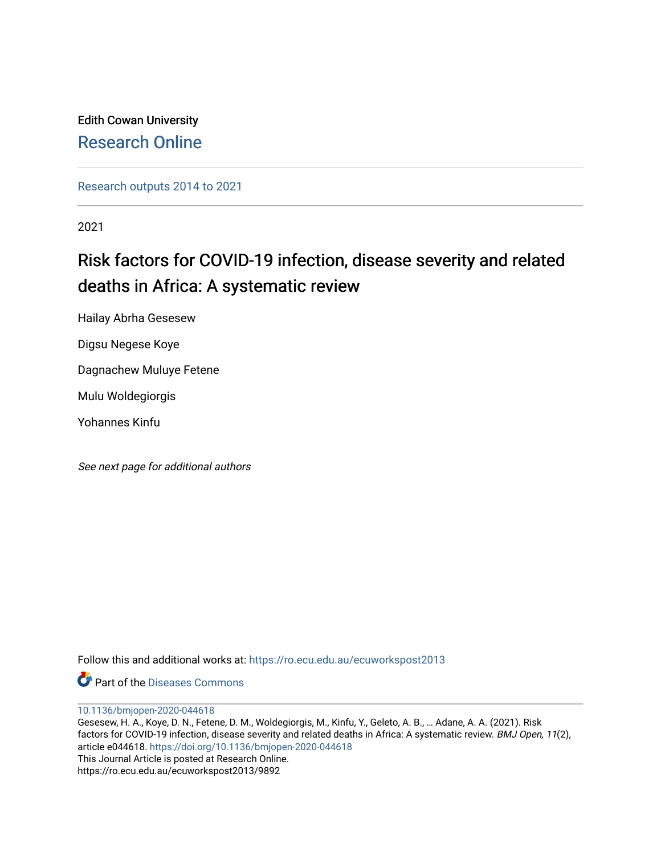Edith Cowan University [Research Online](https://ro.ecu.edu.au/) 

[Research outputs 2014 to 2021](https://ro.ecu.edu.au/ecuworkspost2013) 

2021

# Risk factors for COVID-19 infection, disease severity and related deaths in Africa: A systematic review

Hailay Abrha Gesesew

Digsu Negese Koye

Dagnachew Muluye Fetene

Mulu Woldegiorgis

Yohannes Kinfu

See next page for additional authors

Follow this and additional works at: [https://ro.ecu.edu.au/ecuworkspost2013](https://ro.ecu.edu.au/ecuworkspost2013?utm_source=ro.ecu.edu.au%2Fecuworkspost2013%2F9892&utm_medium=PDF&utm_campaign=PDFCoverPages) 

Part of the [Diseases Commons](http://network.bepress.com/hgg/discipline/813?utm_source=ro.ecu.edu.au%2Fecuworkspost2013%2F9892&utm_medium=PDF&utm_campaign=PDFCoverPages)

[10.1136/bmjopen-2020-044618](http://dx.doi.org/10.1136/bmjopen-2020-044618) 

Gesesew, H. A., Koye, D. N., Fetene, D. M., Woldegiorgis, M., Kinfu, Y., Geleto, A. B., … Adane, A. A. (2021). Risk factors for COVID-19 infection, disease severity and related deaths in Africa: A systematic review. BMJ Open, 11(2), article e044618. <https://doi.org/10.1136/bmjopen-2020-044618> This Journal Article is posted at Research Online. https://ro.ecu.edu.au/ecuworkspost2013/9892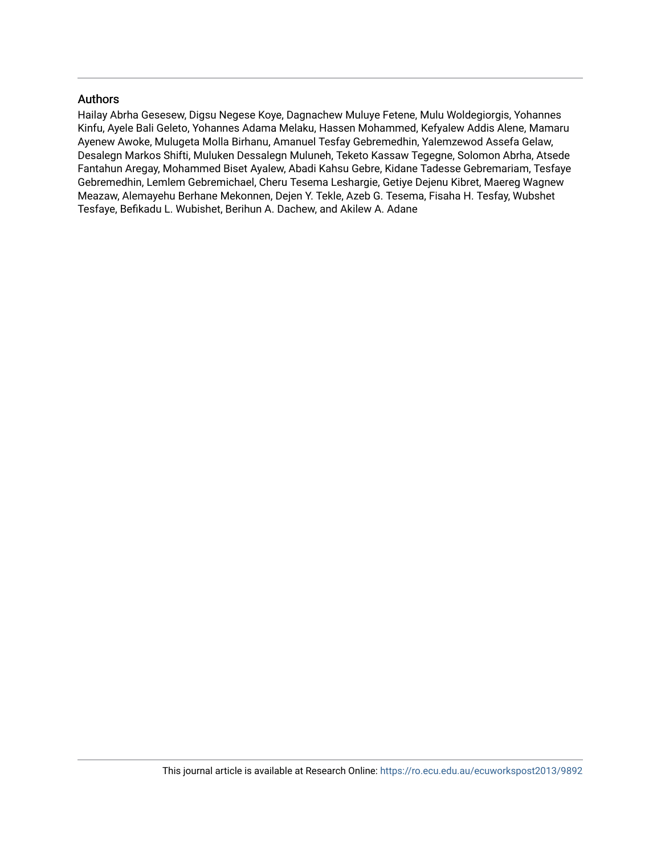# Authors

Hailay Abrha Gesesew, Digsu Negese Koye, Dagnachew Muluye Fetene, Mulu Woldegiorgis, Yohannes Kinfu, Ayele Bali Geleto, Yohannes Adama Melaku, Hassen Mohammed, Kefyalew Addis Alene, Mamaru Ayenew Awoke, Mulugeta Molla Birhanu, Amanuel Tesfay Gebremedhin, Yalemzewod Assefa Gelaw, Desalegn Markos Shifti, Muluken Dessalegn Muluneh, Teketo Kassaw Tegegne, Solomon Abrha, Atsede Fantahun Aregay, Mohammed Biset Ayalew, Abadi Kahsu Gebre, Kidane Tadesse Gebremariam, Tesfaye Gebremedhin, Lemlem Gebremichael, Cheru Tesema Leshargie, Getiye Dejenu Kibret, Maereg Wagnew Meazaw, Alemayehu Berhane Mekonnen, Dejen Y. Tekle, Azeb G. Tesema, Fisaha H. Tesfay, Wubshet Tesfaye, Befikadu L. Wubishet, Berihun A. Dachew, and Akilew A. Adane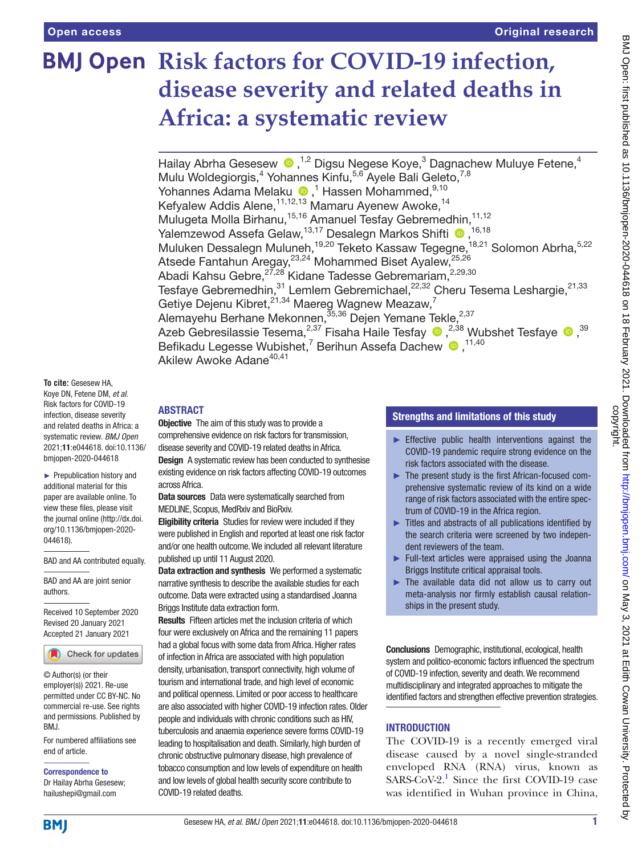# **BMJ Open Risk factors for COVID-19 infection, disease severity and related deaths in Africa: a systematic review**

Hailay Abrha Gesesew <sup>®</sup>,<sup>1,2</sup> Digsu Negese Koye,<sup>3</sup> Dagnachew Muluye Fetene,<sup>4</sup> Mulu Woldegiorgis,<sup>4</sup> Yohannes Kinfu,<sup>5,6</sup> Ayele Bali Geleto,<sup>7,8</sup> YohannesAdama Melaku (D, <sup>1</sup> Hassen Mohammed,  $^{9,10}$ Kefyalew Addis Alene, 11,12,13 Mamaru Ayenew Awoke, <sup>14</sup> Mulugeta Molla Birhanu,<sup>15,16</sup> Amanuel Tesfay Gebremedhin,<sup>11,12</sup> Yalemzewod Assefa Gelaw,<sup>13,17</sup> Desalegn Markos Shifti <sup>(16,18</sup>) Muluken Dessalegn Muluneh,<sup>19,20</sup> Teketo Kassaw Tegegne,<sup>18,21</sup> Solomon Abrha,<sup>5,22</sup> Atsede Fantahun Aregay, 23,24 Mohammed Biset Ayalew, 25,26 Abadi Kahsu Gebre,<sup>27,28</sup> Kidane Tadesse Gebremariam,<sup>2,29,30</sup> Tesfaye Gebremedhin,  $31$  Lemlem Gebremichael,  $22,32$  Cheru Tesema Leshargie,  $21,33$ Getiye Dejenu Kibret, $2^{1,34}$  Maereg Wagnew Meazaw, $^7$ Alemayehu Berhane Mekonnen,<sup>35,36</sup> Dejen Yemane Tekle,<sup>2,37</sup> AzebGebresilassie Tesema, $^{2,37}$  Fisaha Haile Tesfay  $\bigcirc$  , $^{2,38}$  Wubshet Tesfaye  $\bigcirc$  ,  $^{39}$ Befikadu Legesse Wubishet,<sup>7</sup> Berihun Assefa Dachew <sup>11,40</sup> Akilew Awoke Adane<sup>40,41</sup>

**To cite:** Gesesew HA, Koye DN, Fetene DM, *et al*. Risk factors for COVID-19 infection, disease severity and related deaths in Africa: a systematic review. *BMJ Open* 2021;11:e044618. doi:10.1136/ bmjopen-2020-044618

► Prepublication history and additional material for this paper are available online. To view these files, please visit the journal online (http://dx.doi. org/10.1136/bmjopen-2020- 044618).

BAD and AA contributed equally.

BAD and AA are joint senior authors.

Received 10 September 2020 Revised 20 January 2021 Accepted 21 January 2021



© Author(s) (or their employer(s)) 2021. Re-use permitted under CC BY-NC. No commercial re-use. See rights and permissions. Published by BMJ.

For numbered affiliations see end of article.

Correspondence to

Dr Hailay Abrha Gesesew; hailushepi@gmail.com

# ABSTRACT

**Objective** The aim of this study was to provide a comprehensive evidence on risk factors for transmission, disease severity and COVID-19 related deaths in Africa. **Design** A systematic review has been conducted to synthesise existing evidence on risk factors affecting COVID-19 outcomes across Africa.

Data sources Data were systematically searched from MEDLINE, Scopus, MedRxiv and BioRxiv.

Eligibility criteria Studies for review were included if they were published in English and reported at least one risk factor and/or one health outcome. We included all relevant literature published up until 11 August 2020.

Data extraction and synthesis We performed a systematic narrative synthesis to describe the available studies for each outcome. Data were extracted using a standardised Joanna Briggs Institute data extraction form.

Results Fifteen articles met the inclusion criteria of which four were exclusively on Africa and the remaining 11 papers had a global focus with some data from Africa. Higher rates of infection in Africa are associated with high population

density, urbanisation, transport connectivity, high volume of tourism and international trade, and high level of economic and political openness. Limited or poor access to healthcare are also associated with higher COVID-19 infection rates. Older people and individuals with chronic conditions such as HIV, tuberculosis and anaemia experience severe forms COVID-19 leading to hospitalisation and death. Similarly, high burden of chronic obstructive pulmonary disease, high prevalence of tobacco consumption and low levels of expenditure on health and low levels of global health security score contribute to COVID-19 related deaths.

# Strengths and limitations of this study

- $\blacktriangleright$  Effective public health interventions against the COVID-19 pandemic require strong evidence on the risk factors associated with the disease.
- ► The present study is the first African-focused comprehensive systematic review of its kind on a wide range of risk factors associated with the entire spectrum of COVID-19 in the Africa region.
- ► Titles and abstracts of all publications identified by the search criteria were screened by two independent reviewers of the team.
- ► Full-text articles were appraised using the Joanna Briggs Institute critical appraisal tools.
- ► The available data did not allow us to carry out meta-analysis nor firmly establish causal relationships in the present study.

Conclusions Demographic, institutional, ecological, health system and politico-economic factors influenced the spectrum of COVID-19 infection, severity and death. We recommend multidisciplinary and integrated approaches to mitigate the identified factors and strengthen effective prevention strategies.

# INTRODUCTION

The COVID-19 is a recently emerged viral disease caused by a novel single-stranded enveloped RNA (RNA) virus, known as  $SARS-CoV-2$ <sup>[1](#page-11-0)</sup> Since the first COVID-19 case was identified in Wuhan province in China,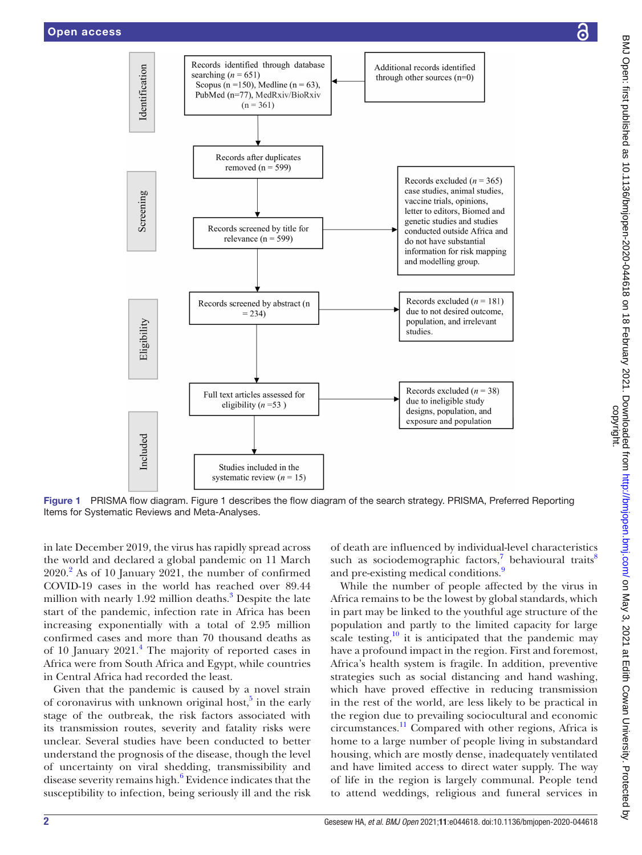

Figure 1 PRISMA flow diagram. [Figure 1](#page-3-0) describes the flow diagram of the search strategy. PRISMA, Preferred Reporting Items for Systematic Reviews and Meta-Analyses.

in late December 2019, the virus has rapidly spread across the world and declared a global pandemic on 11 March 2020.[2](#page-11-1) As of 10 January 2021, the number of confirmed COVID-19 cases in the world has reached over 89.44 million with nearly 1.92 million deaths.<sup>[3](#page-11-2)</sup> Despite the late start of the pandemic, infection rate in Africa has been increasing exponentially with a total of 2.95 million confirmed cases and more than 70 thousand deaths as of 10 January 2021.<sup>[4](#page-11-3)</sup> The majority of reported cases in Africa were from South Africa and Egypt, while countries in Central Africa had recorded the least.

Given that the pandemic is caused by a novel strain of coronavirus with unknown original host,<sup>5</sup> in the early stage of the outbreak, the risk factors associated with its transmission routes, severity and fatality risks were unclear. Several studies have been conducted to better understand the prognosis of the disease, though the level of uncertainty on viral shedding, transmissibility and disease severity remains high.<sup>[6](#page-11-5)</sup> Evidence indicates that the susceptibility to infection, being seriously ill and the risk

<span id="page-3-0"></span>of death are influenced by individual-level characteristics such as sociodemographic factors,<sup>[7](#page-11-6)</sup> behavioural traits<sup>8</sup> and pre-existing medical conditions.<sup>9</sup>

While the number of people affected by the virus in Africa remains to be the lowest by global standards, which in part may be linked to the youthful age structure of the population and partly to the limited capacity for large scale testing, $\frac{10}{10}$  it is anticipated that the pandemic may have a profound impact in the region. First and foremost, Africa's health system is fragile. In addition, preventive strategies such as social distancing and hand washing, which have proved effective in reducing transmission in the rest of the world, are less likely to be practical in the region due to prevailing sociocultural and economic circumstances.[11](#page-11-10) Compared with other regions, Africa is home to a large number of people living in substandard housing, which are mostly dense, inadequately ventilated and have limited access to direct water supply. The way of life in the region is largely communal. People tend to attend weddings, religious and funeral services in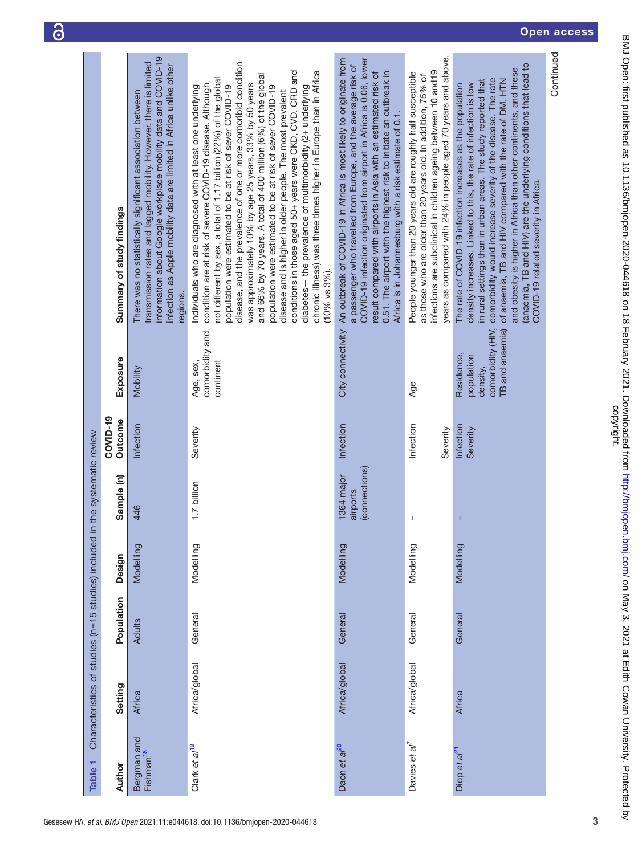<span id="page-4-0"></span>

|                                                    |                          |                           |                                                                                                                                                                                                                                                                                     |                                                                                                                                                                                                                                                                                                                                                                                                                                                                                                                                                                                                                                                                                                                                                                                                        |                                                                                                                                                                                                                                                                                                                                                                                                                                  |                                                                                                                                                                                                                                                                    |                                                                                                                                                                                                                                                                                                                                                                                                                                                                                                             | Continued |
|----------------------------------------------------|--------------------------|---------------------------|-------------------------------------------------------------------------------------------------------------------------------------------------------------------------------------------------------------------------------------------------------------------------------------|--------------------------------------------------------------------------------------------------------------------------------------------------------------------------------------------------------------------------------------------------------------------------------------------------------------------------------------------------------------------------------------------------------------------------------------------------------------------------------------------------------------------------------------------------------------------------------------------------------------------------------------------------------------------------------------------------------------------------------------------------------------------------------------------------------|----------------------------------------------------------------------------------------------------------------------------------------------------------------------------------------------------------------------------------------------------------------------------------------------------------------------------------------------------------------------------------------------------------------------------------|--------------------------------------------------------------------------------------------------------------------------------------------------------------------------------------------------------------------------------------------------------------------|-------------------------------------------------------------------------------------------------------------------------------------------------------------------------------------------------------------------------------------------------------------------------------------------------------------------------------------------------------------------------------------------------------------------------------------------------------------------------------------------------------------|-----------|
|                                                    |                          |                           |                                                                                                                                                                                                                                                                                     |                                                                                                                                                                                                                                                                                                                                                                                                                                                                                                                                                                                                                                                                                                                                                                                                        |                                                                                                                                                                                                                                                                                                                                                                                                                                  |                                                                                                                                                                                                                                                                    |                                                                                                                                                                                                                                                                                                                                                                                                                                                                                                             |           |
|                                                    |                          |                           |                                                                                                                                                                                                                                                                                     |                                                                                                                                                                                                                                                                                                                                                                                                                                                                                                                                                                                                                                                                                                                                                                                                        |                                                                                                                                                                                                                                                                                                                                                                                                                                  |                                                                                                                                                                                                                                                                    |                                                                                                                                                                                                                                                                                                                                                                                                                                                                                                             |           |
|                                                    |                          |                           |                                                                                                                                                                                                                                                                                     |                                                                                                                                                                                                                                                                                                                                                                                                                                                                                                                                                                                                                                                                                                                                                                                                        |                                                                                                                                                                                                                                                                                                                                                                                                                                  |                                                                                                                                                                                                                                                                    |                                                                                                                                                                                                                                                                                                                                                                                                                                                                                                             |           |
|                                                    |                          |                           |                                                                                                                                                                                                                                                                                     |                                                                                                                                                                                                                                                                                                                                                                                                                                                                                                                                                                                                                                                                                                                                                                                                        |                                                                                                                                                                                                                                                                                                                                                                                                                                  |                                                                                                                                                                                                                                                                    |                                                                                                                                                                                                                                                                                                                                                                                                                                                                                                             |           |
|                                                    |                          |                           |                                                                                                                                                                                                                                                                                     |                                                                                                                                                                                                                                                                                                                                                                                                                                                                                                                                                                                                                                                                                                                                                                                                        |                                                                                                                                                                                                                                                                                                                                                                                                                                  |                                                                                                                                                                                                                                                                    |                                                                                                                                                                                                                                                                                                                                                                                                                                                                                                             |           |
|                                                    |                          |                           |                                                                                                                                                                                                                                                                                     |                                                                                                                                                                                                                                                                                                                                                                                                                                                                                                                                                                                                                                                                                                                                                                                                        |                                                                                                                                                                                                                                                                                                                                                                                                                                  |                                                                                                                                                                                                                                                                    |                                                                                                                                                                                                                                                                                                                                                                                                                                                                                                             |           |
|                                                    |                          | Summary of study findings | information about Google workplace mobility data and COVID-19<br>transmission rates and lagged mobility. However, there is limited<br>infection as Apple mobility data are limited in Africa unlike other<br>There was no statistically significant association between<br>regions. | disease, and the prevalence of one or more comoribid condition<br>conditions in those aged 50+ years were CKD, CVD, CRD and<br>chronic illness) was three times higher in Europe than in Africa<br>and 66% by 70 years. A total of 400 million (6%) of the global<br>not different by sex, a total of 1.17 billion (22%) of the global<br>was approximately 10% by age 25 years, 33% by 50 years<br>condition are at risk of severe COVID-19 disease. Although<br>population were estimated to be at risk of sever COVID-19<br>diabetes-the prevalence of multimorbidity (2+ underlying<br>population were estimated to be at risk of sever COVID-19<br>Individuals who are diagnosed with at least one underlying<br>disease and is higher in older people. The most prevalent<br>$(10\%$ vs $3\%$ ). | City connectivity An outbreak of COVID-19 in Africa is most likely to originate from<br>COVID-19 infection originated from airport in Africa is 0.06, lower<br>a passenger who travelled from Europe, and the average risk of<br>result compared with airports in Asia with an estimated risk of<br>0.51. The airport with the highest risk to initiate an outbreak in<br>Africa is in Johannesburg with a risk estimate of 0.1. | years as compared with 24% in people aged 70 years and above.<br>infections are subclinical in children ageing between 10 and 19<br>People younger than 20 years old are roughly half susceptible<br>as those who are older than 20 years old. In addition, 75% of | (anaemia, TB and HIV) are the underlying conditions that lead to<br>and obesity is higher in Africa than other continents, and these<br>comorbidity would increase severity of the disease. The rate<br>of anaemia, TB and HIV compared with the rate of DM, HTN<br>in rural settings than in urban areas. The study reported that<br>density increases. Linked to this, the rate of infection is low<br>The rate of COVID-19 infection increases as the population<br>COVID-19 related severity in Africa. |           |
|                                                    |                          |                           |                                                                                                                                                                                                                                                                                     |                                                                                                                                                                                                                                                                                                                                                                                                                                                                                                                                                                                                                                                                                                                                                                                                        |                                                                                                                                                                                                                                                                                                                                                                                                                                  |                                                                                                                                                                                                                                                                    |                                                                                                                                                                                                                                                                                                                                                                                                                                                                                                             |           |
|                                                    |                          | Exposure                  | Mobility                                                                                                                                                                                                                                                                            | comorbidity and<br>continent<br>Age, sex,                                                                                                                                                                                                                                                                                                                                                                                                                                                                                                                                                                                                                                                                                                                                                              |                                                                                                                                                                                                                                                                                                                                                                                                                                  | Age                                                                                                                                                                                                                                                                | comorbidity (HIV,<br>TB and anaemia)<br>Residence,<br>population<br>density,                                                                                                                                                                                                                                                                                                                                                                                                                                |           |
|                                                    |                          |                           |                                                                                                                                                                                                                                                                                     |                                                                                                                                                                                                                                                                                                                                                                                                                                                                                                                                                                                                                                                                                                                                                                                                        |                                                                                                                                                                                                                                                                                                                                                                                                                                  |                                                                                                                                                                                                                                                                    |                                                                                                                                                                                                                                                                                                                                                                                                                                                                                                             |           |
|                                                    |                          | COVID-19<br>Outcome       | Infection                                                                                                                                                                                                                                                                           | Severity                                                                                                                                                                                                                                                                                                                                                                                                                                                                                                                                                                                                                                                                                                                                                                                               | Infection                                                                                                                                                                                                                                                                                                                                                                                                                        | Infection<br>Severity                                                                                                                                                                                                                                              | Infection<br>Severity                                                                                                                                                                                                                                                                                                                                                                                                                                                                                       |           |
|                                                    |                          | Sample (n)                |                                                                                                                                                                                                                                                                                     |                                                                                                                                                                                                                                                                                                                                                                                                                                                                                                                                                                                                                                                                                                                                                                                                        | (connections)<br>1364 major                                                                                                                                                                                                                                                                                                                                                                                                      |                                                                                                                                                                                                                                                                    |                                                                                                                                                                                                                                                                                                                                                                                                                                                                                                             |           |
|                                                    | in the systematic review |                           | 446                                                                                                                                                                                                                                                                                 | 1.7 billion                                                                                                                                                                                                                                                                                                                                                                                                                                                                                                                                                                                                                                                                                                                                                                                            | airports                                                                                                                                                                                                                                                                                                                                                                                                                         | J.                                                                                                                                                                                                                                                                 | T                                                                                                                                                                                                                                                                                                                                                                                                                                                                                                           |           |
|                                                    |                          |                           | Modelling                                                                                                                                                                                                                                                                           | Modelling                                                                                                                                                                                                                                                                                                                                                                                                                                                                                                                                                                                                                                                                                                                                                                                              | Modelling                                                                                                                                                                                                                                                                                                                                                                                                                        | Modelling                                                                                                                                                                                                                                                          | Modelling                                                                                                                                                                                                                                                                                                                                                                                                                                                                                                   |           |
|                                                    |                          | Design                    |                                                                                                                                                                                                                                                                                     |                                                                                                                                                                                                                                                                                                                                                                                                                                                                                                                                                                                                                                                                                                                                                                                                        |                                                                                                                                                                                                                                                                                                                                                                                                                                  |                                                                                                                                                                                                                                                                    |                                                                                                                                                                                                                                                                                                                                                                                                                                                                                                             |           |
|                                                    |                          | Population                | <b>Adults</b>                                                                                                                                                                                                                                                                       | General                                                                                                                                                                                                                                                                                                                                                                                                                                                                                                                                                                                                                                                                                                                                                                                                | General                                                                                                                                                                                                                                                                                                                                                                                                                          | General                                                                                                                                                                                                                                                            | General                                                                                                                                                                                                                                                                                                                                                                                                                                                                                                     |           |
|                                                    |                          |                           |                                                                                                                                                                                                                                                                                     |                                                                                                                                                                                                                                                                                                                                                                                                                                                                                                                                                                                                                                                                                                                                                                                                        |                                                                                                                                                                                                                                                                                                                                                                                                                                  |                                                                                                                                                                                                                                                                    |                                                                                                                                                                                                                                                                                                                                                                                                                                                                                                             |           |
|                                                    |                          | Setting                   | Africa                                                                                                                                                                                                                                                                              | Africa/global                                                                                                                                                                                                                                                                                                                                                                                                                                                                                                                                                                                                                                                                                                                                                                                          | Africa/global                                                                                                                                                                                                                                                                                                                                                                                                                    | Africa/global                                                                                                                                                                                                                                                      | <b>Africa</b>                                                                                                                                                                                                                                                                                                                                                                                                                                                                                               |           |
| Characteristics of studies (n=15 studies) included |                          |                           |                                                                                                                                                                                                                                                                                     |                                                                                                                                                                                                                                                                                                                                                                                                                                                                                                                                                                                                                                                                                                                                                                                                        |                                                                                                                                                                                                                                                                                                                                                                                                                                  |                                                                                                                                                                                                                                                                    |                                                                                                                                                                                                                                                                                                                                                                                                                                                                                                             |           |
|                                                    |                          |                           | Bergman and<br>Fishman <sup>18</sup>                                                                                                                                                                                                                                                | Clark et al <sup>19</sup>                                                                                                                                                                                                                                                                                                                                                                                                                                                                                                                                                                                                                                                                                                                                                                              | Daon et al <sup>20</sup>                                                                                                                                                                                                                                                                                                                                                                                                         | Davies et al'                                                                                                                                                                                                                                                      | Diop et al <sup>21</sup>                                                                                                                                                                                                                                                                                                                                                                                                                                                                                    |           |
|                                                    | Table 1                  | Author                    |                                                                                                                                                                                                                                                                                     |                                                                                                                                                                                                                                                                                                                                                                                                                                                                                                                                                                                                                                                                                                                                                                                                        |                                                                                                                                                                                                                                                                                                                                                                                                                                  |                                                                                                                                                                                                                                                                    |                                                                                                                                                                                                                                                                                                                                                                                                                                                                                                             |           |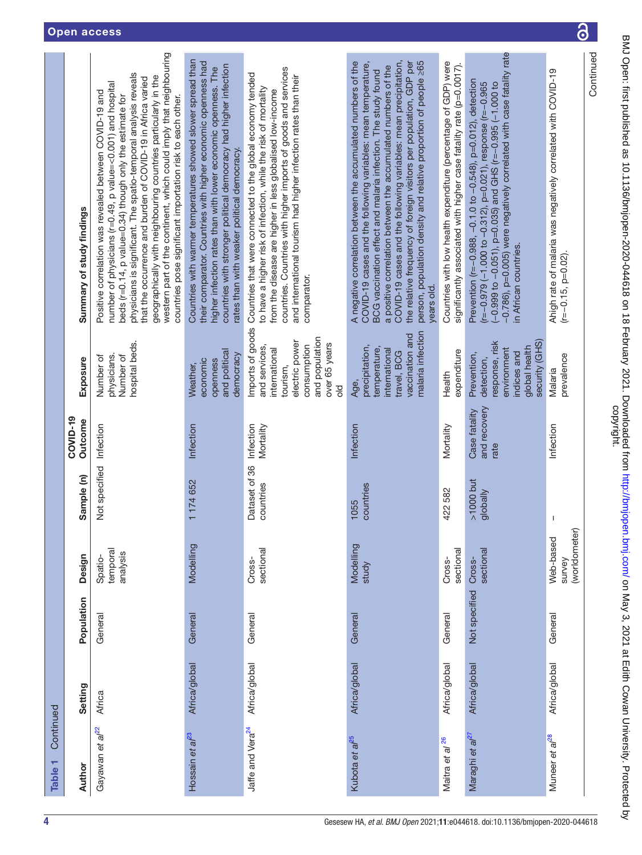| Gesesew HA, et al. BMJ Open 2021;11:e044618. doi:10.1136/bmjopen-2020-044618 |  |
|------------------------------------------------------------------------------|--|
|                                                                              |  |

| Continued |               |               |                                      |                            | COVID-19                              |                                                                                                                                        |                                                                                                                                                                                                                                                                                                                                                                                                                                                                                                                          |
|-----------|---------------|---------------|--------------------------------------|----------------------------|---------------------------------------|----------------------------------------------------------------------------------------------------------------------------------------|--------------------------------------------------------------------------------------------------------------------------------------------------------------------------------------------------------------------------------------------------------------------------------------------------------------------------------------------------------------------------------------------------------------------------------------------------------------------------------------------------------------------------|
|           | Setting       | Population    | Design                               | Sample (n)                 | Outcome                               | Exposure                                                                                                                               | Summary of study findings                                                                                                                                                                                                                                                                                                                                                                                                                                                                                                |
|           | Africa        | General       | temporal<br>analysis<br>Spatio-      | Not specified              | Infection                             | hospital beds.<br>physicians.<br>Number of<br>Number of                                                                                | western part of the continent, which could imply that neighbouring<br>physicians is significant. The spatio-temporal analysis reveals<br>geographically with neighbouring countries particularly in the<br>that the occurrence and burden of COVID-19 in Africa varied<br>number of physicians (r=0.49, p value=<0.001) and hospital<br>Positive correlation was revealed between COVID-19 and<br>countries pose significant importation risk to each other.<br>beds (r=0.14, p value=0.34) though only the estimate for |
|           | Africa/global | General       | Modelling                            | 1174652                    | Infection                             | and political<br>democracy<br>economic<br>openness<br>Weather,                                                                         | Countries with warmer temperatures showed slower spread than<br>their comparator. Countries with higher economic openness had<br>countries with stronger political democracy had higher infection<br>higher infection rates than with lower economic openness. The<br>rates than with weaker political democracy.                                                                                                                                                                                                        |
|           | Africa/global | General       | sectional<br>Cross-                  | Dataset of 36<br>countries | Infection<br>Mortality                | Imports of goods<br>and population<br>electric power<br>over 65 years<br>consumption<br>and services<br>international<br>tourism,<br>응 | countries. Countries with higher imports of goods and services<br>Countries that were connected to the global economy tended<br>and international tourism had higher infection rates than their<br>to have a higher risk of infection, while the risk of mortality<br>from the disease are higher in less globalised low-income<br>comparator.                                                                                                                                                                           |
|           | Africa/global | General       | Modelling<br>study                   | countries<br>1055          | Infection                             | malaria infection<br>vaccination and<br>precipitation,<br>temperature,<br>international<br>travel, BCG<br>Age,                         | COVID-19 cases and the following variables: mean precipitation,<br>the relative frequency of foreign visitors per population, GDP per<br>person, population density and relative proportion of people ≥65<br>A negative correlation between the accumulated numbers of the<br>COVID-19 cases and the following variables: mean temperature,<br>a positive correlation between the accumulated numbers of the<br>BCG vaccination effect and malaria infection. The study found<br>years old.                              |
|           | Africa/global | General       | sectional<br>Cross-                  | 422 582                    | Mortality                             | expenditure<br>Health                                                                                                                  | Countries with low health expenditure (percentage of GDP) were<br>significantly associated with higher case fatality rate (p=0.0017).                                                                                                                                                                                                                                                                                                                                                                                    |
|           | Africa/global | Not specified | sectional<br>Cross-                  | $>1000$ but<br>globally    | and recovery<br>Case fatality<br>rate | response, risk<br>security (GHS)<br>global health<br>environment<br>indices and<br>Prevention,<br>detection,                           | -0.786), p=0.005) were negatively correlated with case fatality rate<br>Prevention (r=-0.988, -0.1.0 to -0.548), p=0.012), detection<br>(r=-0.979 (-1.000 to -0.312), p=0.021), response (r=-0.965<br>(-0.999 to -0.051), p=0.035) and GHS (r=-0.995 (-1.000 to<br>in African countries.                                                                                                                                                                                                                                 |
|           | Africa/global | General       | (worldometer)<br>Web-based<br>survey | $\mathbf{I}$               | Infection                             | prevalence<br>Malaria                                                                                                                  | Ahigh rate of malaria was negatively correlated with COVID-19<br>$(r=-0.15, p=0.02).$                                                                                                                                                                                                                                                                                                                                                                                                                                    |
|           |               |               |                                      |                            |                                       |                                                                                                                                        | Continued                                                                                                                                                                                                                                                                                                                                                                                                                                                                                                                |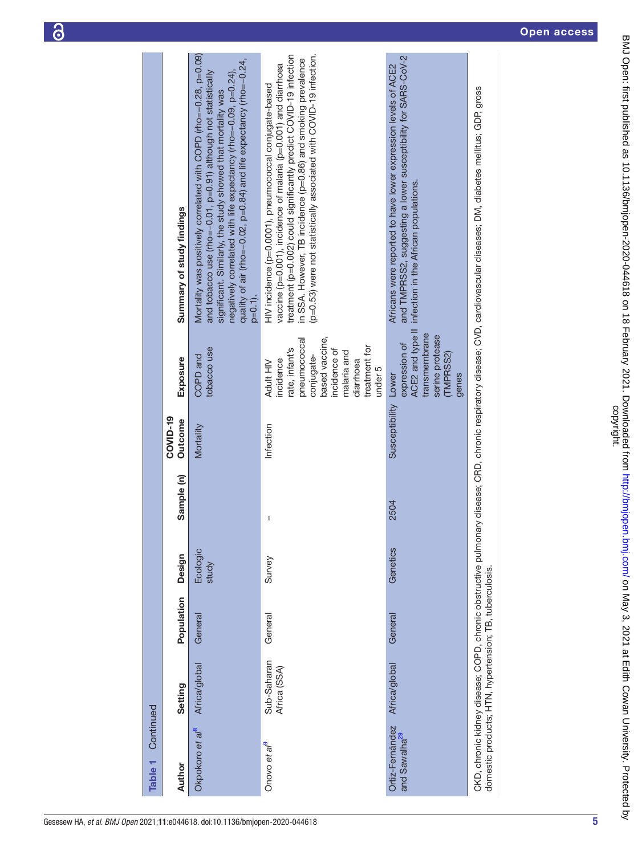|--|

| Continued<br>Table <sub>1</sub>              |                                                         |            |                   |            |                      |                                                                                                                                                                  |                                                                                                                                                                                                                                                                                                                                                           |
|----------------------------------------------|---------------------------------------------------------|------------|-------------------|------------|----------------------|------------------------------------------------------------------------------------------------------------------------------------------------------------------|-----------------------------------------------------------------------------------------------------------------------------------------------------------------------------------------------------------------------------------------------------------------------------------------------------------------------------------------------------------|
| Author                                       | Setting                                                 | Population | Design            | Sample (n) | COVID-19<br>Outcome  | <b>Exposure</b>                                                                                                                                                  | Summary of study findings                                                                                                                                                                                                                                                                                                                                 |
| Okpokoro et al <sup>8</sup>                  | Africa/global                                           | General    | Ecologic<br>study |            | Mortality            | tobacco use<br>COPD and                                                                                                                                          | Mortality was positively correlated with COPD (rho=-0.28, p=0.09)<br>quality of air (rho=-0.02, p=0.84) and life expectancy (rho=-0.24,<br>and tobacco use (rho=-0.01, p=0.91) although not statistically<br>negatively correlated with life expectancy (rho=-0.09, p=0.24),<br>significant. Similarly, the study showed that mortality was<br>$p=0.1$ ). |
| Onovo et al <sup>9</sup>                     | Sub-Saharan<br>Africa (SSA)                             | General    | Survey            | Ī          | Infection            | based vaccine,<br>pneumococcal<br>treatment for<br>rate, infant's<br>incidence of<br>malaria and<br>conjugate-<br>incidence<br>diarrhoea<br>Adult HIV<br>under 5 | (p=0.53) were not statistically associated with COVID-19 infection.<br>treatment (p=0.002) could significantly predict COVID-19 infection<br>in SSA. However, TB incidence (p=0.86) and smoking prevalence<br>vaccine (p=0.001), incidence of malaria (p=0.001) and diarrhoea<br>HIV incidence (p=0.0001), pneumococcal conjugate-based                   |
| Ortiz-Fernández<br>and Sawalha <sup>29</sup> | Africa/global                                           | General    | Genetics          | 2504       | Susceptibility Lower | ACE2 and type II<br>transmembrane<br>serine protease<br>expression of<br>(TMPRSS2)<br>genes                                                                      | and TMPRSS2, suggesting a lower susceptibility for SARS-CoV-2<br>Africans were reported to have lower expression levels of ACE2<br>infection in the African populations.                                                                                                                                                                                  |
|                                              | domestic products; HTN, hypertension; TB, tuberculosis. |            |                   |            |                      |                                                                                                                                                                  | CKD, chronic kidney disease; COPD, chronic obstructive pulmonary disease; CRD, chronic respiratory disease; CVD, cardiovascular diseases; DM, diabetes melitus; GDP, gross                                                                                                                                                                                |

Open access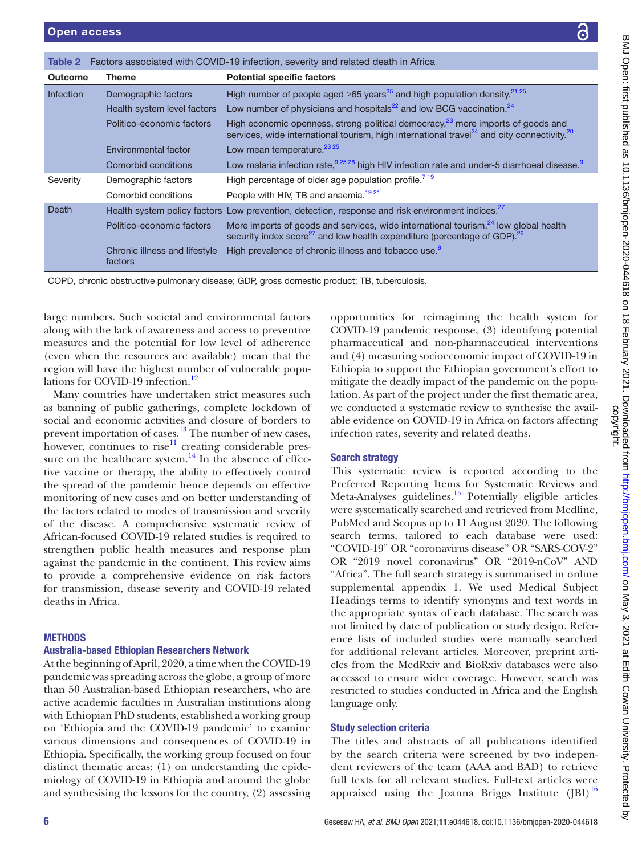|                                                            | こうこうこう |
|------------------------------------------------------------|--------|
| for                                                        |        |
| ntial<br>ions<br>9 in<br>1t to<br>pu-rea,<br>vail-<br>ting |        |
|                                                            |        |
|                                                            |        |
|                                                            |        |
|                                                            |        |
|                                                            |        |
|                                                            |        |
|                                                            |        |
|                                                            |        |
|                                                            |        |
|                                                            |        |
| the<br>and                                                 |        |
| cles                                                       |        |
| ine,                                                       |        |
| ing                                                        |        |
| sed:                                                       |        |
| $V-2$                                                      |        |
| $\overline{\rm ND}$                                        |        |
| line                                                       |        |
| ject                                                       |        |
| $\mathbf{s}$<br>in                                         |        |
| was                                                        | ¢      |
| efer-                                                      |        |
| hed                                                        |        |
| arti-                                                      |        |
| also                                                       |        |
| was                                                        |        |
| iish;                                                      |        |
|                                                            |        |
|                                                            |        |
|                                                            |        |
| fied                                                       |        |
| <sub>b</sub> en-<br>ieve                                   |        |
| vere                                                       |        |
| $\boldsymbol{6}$<br>J)                                     |        |
|                                                            |        |
|                                                            |        |

<span id="page-7-0"></span>

| Table 2          |                                          | Factors associated with COVID-19 infection, severity and related death in Africa                                                                                                                            |
|------------------|------------------------------------------|-------------------------------------------------------------------------------------------------------------------------------------------------------------------------------------------------------------|
| <b>Outcome</b>   | <b>Theme</b>                             | <b>Potential specific factors</b>                                                                                                                                                                           |
| <b>Infection</b> | Demographic factors                      | High number of people aged $\geq 65$ years <sup>25</sup> and high population density. <sup>21,25</sup>                                                                                                      |
|                  | Health system level factors              | Low number of physicians and hospitals <sup>22</sup> and low BCG vaccination. <sup>24</sup>                                                                                                                 |
|                  | Politico-economic factors                | High economic openness, strong political democracy, $^{23}$ more imports of goods and<br>services, wide international tourism, high international travel <sup>24</sup> and city connectivity. <sup>20</sup> |
|                  | Environmental factor                     | Low mean temperature. <sup>23</sup> <sup>25</sup>                                                                                                                                                           |
|                  | Comorbid conditions                      | Low malaria infection rate, 925 28 high HIV infection rate and under-5 diarrhoeal disease.                                                                                                                  |
| Severity         | Demographic factors                      | High percentage of older age population profile. <sup>719</sup>                                                                                                                                             |
|                  | Comorbid conditions                      | People with HIV, TB and anaemia. <sup>1921</sup>                                                                                                                                                            |
| Death            |                                          | Health system policy factors Low prevention, detection, response and risk environment indices. <sup>27</sup>                                                                                                |
|                  | Politico-economic factors                | More imports of goods and services, wide international tourism, <sup>24</sup> low global health<br>security index score <sup>27</sup> and low health expenditure (percentage of GDP). <sup>26</sup>         |
|                  | Chronic illness and lifestyle<br>factors | High prevalence of chronic illness and tobacco use. <sup>8</sup>                                                                                                                                            |

COPD, chronic obstructive pulmonary disease; GDP, gross domestic product; TB, tuberculosis.

large numbers. Such societal and environmental factors along with the lack of awareness and access to preventive measures and the potential for low level of adherence (even when the resources are available) mean that the region will have the highest number of vulnerable popu-lations for COVID-19 infection.<sup>[12](#page-11-23)</sup>

Many countries have undertaken strict measures such as banning of public gatherings, complete lockdown of social and economic activities and closure of borders to prevent importation of cases.<sup>13</sup> The number of new cases, however, continues to rise<sup>11</sup> creating considerable pressure on the healthcare system. $14$  In the absence of effective vaccine or therapy, the ability to effectively control the spread of the pandemic hence depends on effective monitoring of new cases and on better understanding of the factors related to modes of transmission and severity of the disease. A comprehensive systematic review of African-focused COVID-19 related studies is required to strengthen public health measures and response plan against the pandemic in the continent. This review aims to provide a comprehensive evidence on risk factors for transmission, disease severity and COVID-19 related deaths in Africa.

# **METHODS**

#### Australia-based Ethiopian Researchers Network

At the beginning of April, 2020, a time when the COVID-19 pandemic was spreading across the globe, a group of more than 50 Australian-based Ethiopian researchers, who are active academic faculties in Australian institutions along with Ethiopian PhD students, established a working group on 'Ethiopia and the COVID-19 pandemic' to examine various dimensions and consequences of COVID-19 in Ethiopia. Specifically, the working group focused on four distinct thematic areas: (1) on understanding the epidemiology of COVID-19 in Ethiopia and around the globe and synthesising the lessons for the country, (2) assessing

opportunities for reimagining the health system  $COVID-19$  pandemic response,  $(3)$  identifying potential pharmaceutical and non-pharmaceutical interventi and (4) measuring socioeconomic impact of COVID-1 Ethiopia to support the Ethiopian government's effor mitigate the deadly impact of the pandemic on the po lation. As part of the project under the first thematic area, we conducted a systematic review to synthesise the available evidence on COVID-19 in Africa on factors affection infection rates, severity and related deaths.

#### Search strategy

This systematic review is reported according to Preferred Reporting Items for Systematic Reviews Meta-Analyses guidelines.<sup>15</sup> Potentially eligible arti were systematically searched and retrieved from Medli PubMed and Scopus up to 11 August 2020. The follow search terms, tailored to each database were us "COVID-19" OR "coronavirus disease" OR "SARS-CO" OR "2019 novel coronavirus" OR "2019-nCoV" A "Africa". The full search strategy is summarised in onl [supplemental appendix 1.](https://dx.doi.org/10.1136/bmjopen-2020-044618) We used Medical Sub Headings terms to identify synonyms and text words the appropriate syntax of each database. The search not limited by date of publication or study design. Re ence lists of included studies were manually search for additional relevant articles. Moreover, preprint and cles from the MedRxiv and BioRxiv databases were accessed to ensure wider coverage. However, search restricted to studies conducted in Africa and the Eng language only.

#### Study selection criteria

The titles and abstracts of all publications identified by the search criteria were screened by two independent reviewers of the team (AAA and BAD) to retrieve full texts for all relevant studies. Full-text articles were appraised using the Joanna Briggs Institute  $([BI)^{16}$  $([BI)^{16}$  $([BI)^{16}$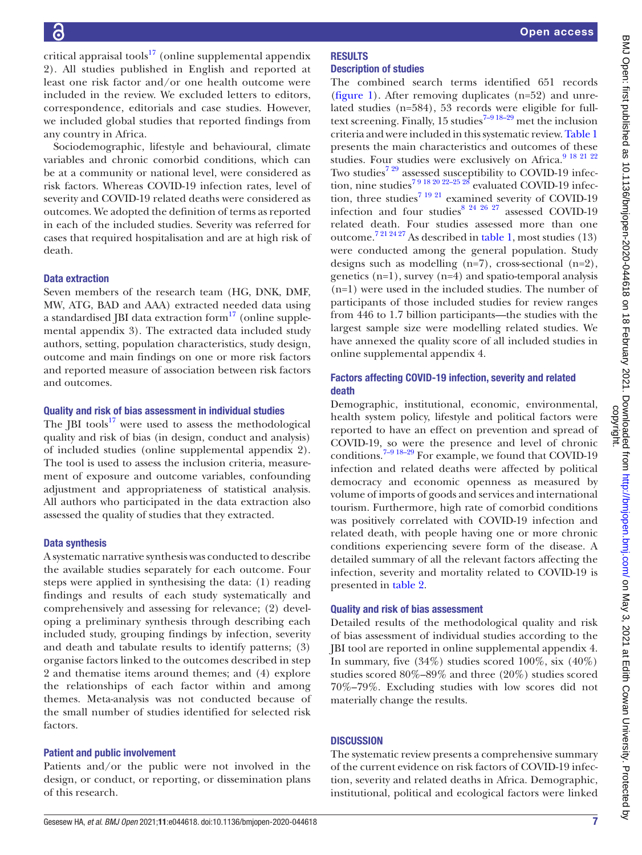critical appraisal tools<sup>17</sup> ([online supplemental appendix](https://dx.doi.org/10.1136/bmjopen-2020-044618) [2\)](https://dx.doi.org/10.1136/bmjopen-2020-044618). All studies published in English and reported at least one risk factor and/or one health outcome were included in the review. We excluded letters to editors, correspondence, editorials and case studies. However, we included global studies that reported findings from any country in Africa.

Sociodemographic, lifestyle and behavioural, climate variables and chronic comorbid conditions, which can be at a community or national level, were considered as risk factors. Whereas COVID-19 infection rates, level of severity and COVID-19 related deaths were considered as outcomes. We adopted the definition of terms as reported in each of the included studies. Severity was referred for cases that required hospitalisation and are at high risk of death.

#### Data extraction

Seven members of the research team (HG, DNK, DMF, MW, ATG, BAD and AAA) extracted needed data using a standardised JBI data extraction form<sup>[17](#page-11-28)</sup> [\(online supple](https://dx.doi.org/10.1136/bmjopen-2020-044618)[mental appendix 3\)](https://dx.doi.org/10.1136/bmjopen-2020-044618). The extracted data included study authors, setting, population characteristics, study design, outcome and main findings on one or more risk factors and reported measure of association between risk factors and outcomes.

#### Quality and risk of bias assessment in individual studies

The  $|BI|$  tools<sup>[17](#page-11-28)</sup> were used to assess the methodological quality and risk of bias (in design, conduct and analysis) of included studies ([online supplemental appendix 2](https://dx.doi.org/10.1136/bmjopen-2020-044618)). The tool is used to assess the inclusion criteria, measurement of exposure and outcome variables, confounding adjustment and appropriateness of statistical analysis. All authors who participated in the data extraction also assessed the quality of studies that they extracted.

#### Data synthesis

A systematic narrative synthesis was conducted to describe the available studies separately for each outcome. Four steps were applied in synthesising the data: (1) reading findings and results of each study systematically and comprehensively and assessing for relevance; (2) developing a preliminary synthesis through describing each included study, grouping findings by infection, severity and death and tabulate results to identify patterns; (3) organise factors linked to the outcomes described in step 2 and thematise items around themes; and (4) explore the relationships of each factor within and among themes. Meta-analysis was not conducted because of the small number of studies identified for selected risk factors.

#### Patient and public involvement

Patients and/or the public were not involved in the design, or conduct, or reporting, or dissemination plans of this research.

#### **RESULTS** Description of studies

The combined search terms identified 651 records [\(figure](#page-3-0) 1). After removing duplicates (n=52) and unrelated studies (n=584), 53 records were eligible for fulltext screening. Finally, 15 studies<sup>7-9 18-29</sup> met the inclusion criteria and were included in this systematic review. [Table](#page-4-0) 1 presents the main characteristics and outcomes of these studies. Four studies were exclusively on Africa.<sup>[9 18 21 22](#page-11-8)</sup> Two studies<sup>[7 29](#page-11-6)</sup> assessed susceptibility to COVID-19 infection, nine studies<sup>7 9 18 20 22–25 28</sup> evaluated COVID-19 infec-tion, three studies<sup>[7 19 21](#page-11-6)</sup> examined severity of COVID-19 infection and four studies $8^{24}$   $26^{27}$  assessed COVID-19 related death. Four studies assessed more than one outcome.[7 21 24 27](#page-11-6) As described in [table](#page-4-0) 1, most studies (13) were conducted among the general population. Study designs such as modelling  $(n=7)$ , cross-sectional  $(n=2)$ , genetics (n=1), survey (n=4) and spatio-temporal analysis (n=1) were used in the included studies. The number of participants of those included studies for review ranges from 446 to 1.7 billion participants—the studies with the largest sample size were modelling related studies. We have annexed the quality score of all included studies in [online supplemental appendix 4](https://dx.doi.org/10.1136/bmjopen-2020-044618).

## Factors affecting COVID-19 infection, severity and related death

Demographic, institutional, economic, environmental, health system policy, lifestyle and political factors were reported to have an effect on prevention and spread of COVID-19, so were the presence and level of chronic conditions[.7–9 18–29](#page-11-6) For example, we found that COVID-19 infection and related deaths were affected by political democracy and economic openness as measured by volume of imports of goods and services and international tourism. Furthermore, high rate of comorbid conditions was positively correlated with COVID-19 infection and related death, with people having one or more chronic conditions experiencing severe form of the disease. A detailed summary of all the relevant factors affecting the infection, severity and mortality related to COVID-19 is presented in [table](#page-7-0) 2.

#### Quality and risk of bias assessment

Detailed results of the methodological quality and risk of bias assessment of individual studies according to the JBI tool are reported in [online supplemental appendix 4](https://dx.doi.org/10.1136/bmjopen-2020-044618). In summary, five  $(34\%)$  studies scored  $100\%$ , six  $(40\%)$ studies scored 80%–89% and three (20%) studies scored 70%–79%. Excluding studies with low scores did not materially change the results.

#### **DISCUSSION**

The systematic review presents a comprehensive summary of the current evidence on risk factors of COVID-19 infection, severity and related deaths in Africa. Demographic, institutional, political and ecological factors were linked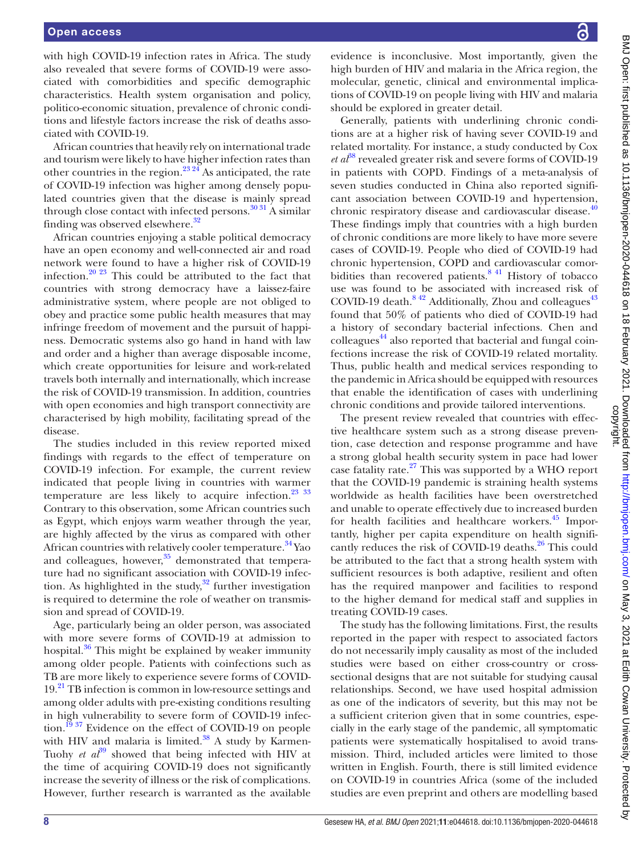with high COVID-19 infection rates in Africa. The study also revealed that severe forms of COVID-19 were associated with comorbidities and specific demographic characteristics. Health system organisation and policy, politico-economic situation, prevalence of chronic conditions and lifestyle factors increase the risk of deaths associated with COVID-19.

African countries that heavily rely on international trade and tourism were likely to have higher infection rates than other countries in the region.<sup>23, 24</sup> As anticipated, the rate of COVID-19 infection was higher among densely populated countries given that the disease is mainly spread through close contact with infected persons.<sup>30 31</sup> A similar finding was observed elsewhere.<sup>32</sup>

African countries enjoying a stable political democracy have an open economy and well-connected air and road network were found to have a higher risk of COVID-19 infection.<sup>20 23</sup> This could be attributed to the fact that countries with strong democracy have a laissez-faire administrative system, where people are not obliged to obey and practice some public health measures that may infringe freedom of movement and the pursuit of happiness. Democratic systems also go hand in hand with law and order and a higher than average disposable income, which create opportunities for leisure and work-related travels both internally and internationally, which increase the risk of COVID-19 transmission. In addition, countries with open economies and high transport connectivity are characterised by high mobility, facilitating spread of the disease.

The studies included in this review reported mixed findings with regards to the effect of temperature on COVID-19 infection. For example, the current review indicated that people living in countries with warmer temperature are less likely to acquire infection.<sup>23</sup> <sup>33</sup> Contrary to this observation, some African countries such as Egypt, which enjoys warm weather through the year, are highly affected by the virus as compared with other African countries with relatively cooler temperature.<sup>34</sup> Yao and colleagues, however, $35$  demonstrated that temperature had no significant association with COVID-19 infection. As highlighted in the study, $32$  further investigation is required to determine the role of weather on transmission and spread of COVID-19.

Age, particularly being an older person, was associated with more severe forms of COVID-19 at admission to hospital. $36$  This might be explained by weaker immunity among older people. Patients with coinfections such as TB are more likely to experience severe forms of COVID-19<sup>21</sup> TB infection is common in low-resource settings and among older adults with pre-existing conditions resulting in high vulnerability to severe form of COVID-19 infection.<sup>19</sup>  $37$  Evidence on the effect of COVID-19 on people with HIV and malaria is limited.<sup>38</sup> A study by Karmen-Tuohy *et al*<sup>39</sup> showed that being infected with HIV at the time of acquiring COVID-19 does not significantly increase the severity of illness or the risk of complications. However, further research is warranted as the available

evidence is inconclusive. Most importantly, given the high burden of HIV and malaria in the Africa region, the molecular, genetic, clinical and environmental implications of COVID-19 on people living with HIV and malaria should be explored in greater detail.

Generally, patients with underlining chronic conditions are at a higher risk of having sever COVID-19 and related mortality. For instance, a study conducted by Cox *et al*<sup> $38$ </sup> revealed greater risk and severe forms of COVID-19 in patients with COPD. Findings of a meta-analysis of seven studies conducted in China also reported significant association between COVID-19 and hypertension, chronic respiratory disease and cardiovascular disease.<sup>[40](#page-11-36)</sup> These findings imply that countries with a high burden of chronic conditions are more likely to have more severe cases of COVID-19. People who died of COVID-19 had chronic hypertension, COPD and cardiovascular comorbidities than recovered patients. $841$  History of tobacco use was found to be associated with increased risk of COVID-19 death. $8\frac{42}{3}$  Additionally, Zhou and colleagues<sup>[43](#page-11-37)</sup> found that 50% of patients who died of COVID-19 had a history of secondary bacterial infections. Chen and colleagues<sup>44</sup> also reported that bacterial and fungal coinfections increase the risk of COVID-19 related mortality. Thus, public health and medical services responding to the pandemic in Africa should be equipped with resources that enable the identification of cases with underlining chronic conditions and provide tailored interventions.

The present review revealed that countries with effective healthcare system such as a strong disease prevention, case detection and response programme and have a strong global health security system in pace had lower case fatality rate.[27](#page-11-20) This was supported by a WHO report that the COVID-19 pandemic is straining health systems worldwide as health facilities have been overstretched and unable to operate effectively due to increased burden for health facilities and healthcare workers.<sup>[45](#page-11-39)</sup> Importantly, higher per capita expenditure on health significantly reduces the risk of COVID-19 deaths.<sup>26</sup> This could be attributed to the fact that a strong health system with sufficient resources is both adaptive, resilient and often has the required manpower and facilities to respond to the higher demand for medical staff and supplies in treating COVID-19 cases.

The study has the following limitations. First, the results reported in the paper with respect to associated factors do not necessarily imply causality as most of the included studies were based on either cross-country or crosssectional designs that are not suitable for studying causal relationships. Second, we have used hospital admission as one of the indicators of severity, but this may not be a sufficient criterion given that in some countries, especially in the early stage of the pandemic, all symptomatic patients were systematically hospitalised to avoid transmission. Third, included articles were limited to those written in English. Fourth, there is still limited evidence on COVID-19 in countries Africa (some of the included studies are even preprint and others are modelling based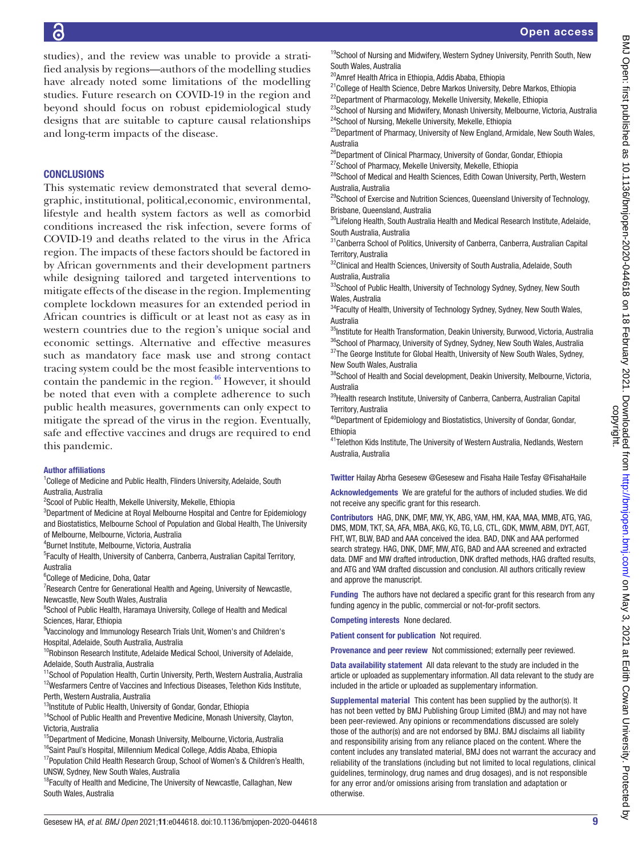studies), and the review was unable to provide a stratified analysis by regions—authors of the modelling studies have already noted some limitations of the modelling studies. Future research on COVID-19 in the region and beyond should focus on robust epidemiological study designs that are suitable to capture causal relationships and long-term impacts of the disease.

## **CONCLUSIONS**

This systematic review demonstrated that several demographic, institutional, political,economic, environmental, lifestyle and health system factors as well as comorbid conditions increased the risk infection, severe forms of COVID-19 and deaths related to the virus in the Africa region. The impacts of these factors should be factored in by African governments and their development partners while designing tailored and targeted interventions to mitigate effects of the disease in the region. Implementing complete lockdown measures for an extended period in African countries is difficult or at least not as easy as in western countries due to the region's unique social and economic settings. Alternative and effective measures such as mandatory face mask use and strong contact tracing system could be the most feasible interventions to contain the pandemic in the region.<sup>46</sup> However, it should be noted that even with a complete adherence to such public health measures, governments can only expect to mitigate the spread of the virus in the region. Eventually, safe and effective vaccines and drugs are required to end this pandemic.

#### Author affiliations

<sup>1</sup>College of Medicine and Public Health, Flinders University, Adelaide, South Australia, Australia

<sup>2</sup>Scool of Public Health, Mekelle University, Mekelle, Ethiopia

<sup>3</sup>Department of Medicine at Royal Melbourne Hospital and Centre for Epidemiology and Biostatistics, Melbourne School of Population and Global Health, The University of Melbourne, Melbourne, Victoria, Australia

4 Burnet Institute, Melbourne, Victoria, Australia

<sup>5</sup> Faculty of Health, University of Canberra, Canberra, Australian Capital Territory, Australia

6 College of Medicine, Doha, Qatar

<sup>7</sup> Research Centre for Generational Health and Ageing, University of Newcastle, Newcastle, New South Wales, Australia

<sup>8</sup>School of Public Health, Haramaya University, College of Health and Medical Sciences, Harar, Ethiopia

<sup>9</sup>Vaccinology and Immunology Research Trials Unit, Women's and Children's Hospital, Adelaide, South Australia, Australia

<sup>10</sup>Robinson Research Institute, Adelaide Medical School, University of Adelaide, Adelaide, South Australia, Australia

<sup>11</sup>School of Population Health, Curtin University, Perth, Western Australia, Australia 12Wesfarmers Centre of Vaccines and Infectious Diseases, Telethon Kids Institute, Perth, Western Australia, Australia

<sup>13</sup>Institute of Public Health, University of Gondar, Gondar, Ethiopia

<sup>14</sup>School of Public Health and Preventive Medicine, Monash University, Clayton, Victoria, Australia

 $15$ Department of Medicine, Monash University, Melbourne, Victoria, Australia <sup>16</sup>Saint Paul's Hospital, Millennium Medical College, Addis Ababa, Ethiopia

<sup>17</sup> Population Child Health Research Group, School of Women's & Children's Health, UNSW, Sydney, New South Wales, Australia

<sup>18</sup>Faculty of Health and Medicine, The University of Newcastle, Callaghan, New South Wales, Australia

<sup>19</sup>School of Nursing and Midwifery, Western Sydney University, Penrith South, New South Wales, Australia

20Amref Health Africa in Ethiopia, Addis Ababa, Ethiopia

<sup>21</sup>College of Health Science, Debre Markos University, Debre Markos, Ethiopia <sup>22</sup>Department of Pharmacology, Mekelle University, Mekelle, Ethiopia

<sup>23</sup>School of Nursing and Midwifery, Monash University, Melbourne, Victoria, Australia <sup>24</sup>School of Nursing, Mekelle University, Mekelle, Ethiopia

<sup>25</sup>Department of Pharmacy, University of New England, Armidale, New South Wales, Australia

<sup>26</sup>Department of Clinical Pharmacy, University of Gondar, Gondar, Ethiopia <sup>27</sup>School of Pharmacy, Mekelle University, Mekelle, Ethiopia

<sup>28</sup>School of Medical and Health Sciences, Edith Cowan University, Perth, Western

Australia, Australia

<sup>29</sup>School of Exercise and Nutrition Sciences, Queensland University of Technology, Brisbane, Queensland, Australia

<sup>30</sup>Lifelong Health, South Australia Health and Medical Research Institute, Adelaide, South Australia, Australia

31Canberra School of Politics, University of Canberra, Canberra, Australian Capital Territory, Australia

<sup>32</sup>Clinical and Health Sciences, University of South Australia, Adelaide, South Australia, Australia

<sup>33</sup>School of Public Health, University of Technology Sydney, Sydney, New South Wales, Australia

<sup>34</sup>Faculty of Health, University of Technology Sydney, Sydney, New South Wales, Australia

<sup>35</sup>Institute for Health Transformation, Deakin University, Burwood, Victoria, Australia <sup>36</sup>School of Pharmacy, University of Sydney, Sydney, New South Wales, Australia <sup>37</sup>The George Institute for Global Health, University of New South Wales, Sydney,

New South Wales, Australia 38School of Health and Social development, Deakin University, Melbourne, Victoria, Australia

<sup>39</sup>Health research Institute, University of Canberra, Canberra, Australian Capital Territory, Australia

<sup>40</sup>Department of Epidemiology and Biostatistics, University of Gondar, Gondar, Ethiopia

<sup>41</sup>Telethon Kids Institute, The University of Western Australia, Nedlands, Western Australia, Australia

Twitter Hailay Abrha Gesesew [@Gesesew](https://twitter.com/Gesesew) and Fisaha Haile Tesfay [@FisahaHaile](https://twitter.com/FisahaHaile)

Acknowledgements We are grateful for the authors of included studies. We did not receive any specific grant for this research.

Contributors HAG, DNK, DMF, MW, YK, ABG, YAM, HM, KAA, MAA, MMB, ATG, YAG, DMS, MDM, TKT, SA, AFA, MBA, AKG, KG, TG, LG, CTL, GDK, MWM, ABM, DYT, AGT, FHT, WT, BLW, BAD and AAA conceived the idea. BAD, DNK and AAA performed search strategy. HAG, DNK, DMF, MW, ATG, BAD and AAA screened and extracted data. DMF and MW drafted introduction, DNK drafted methods, HAG drafted results, and ATG and YAM drafted discussion and conclusion. All authors critically review and approve the manuscript.

Funding The authors have not declared a specific grant for this research from any funding agency in the public, commercial or not-for-profit sectors.

Competing interests None declared.

Patient consent for publication Not required.

Provenance and peer review Not commissioned; externally peer reviewed.

Data availability statement All data relevant to the study are included in the article or uploaded as supplementary information. All data relevant to the study are included in the article or uploaded as supplementary information.

Supplemental material This content has been supplied by the author(s). It has not been vetted by BMJ Publishing Group Limited (BMJ) and may not have been peer-reviewed. Any opinions or recommendations discussed are solely those of the author(s) and are not endorsed by BMJ. BMJ disclaims all liability and responsibility arising from any reliance placed on the content. Where the content includes any translated material, BMJ does not warrant the accuracy and reliability of the translations (including but not limited to local regulations, clinical guidelines, terminology, drug names and drug dosages), and is not responsible for any error and/or omissions arising from translation and adaptation or otherwise.